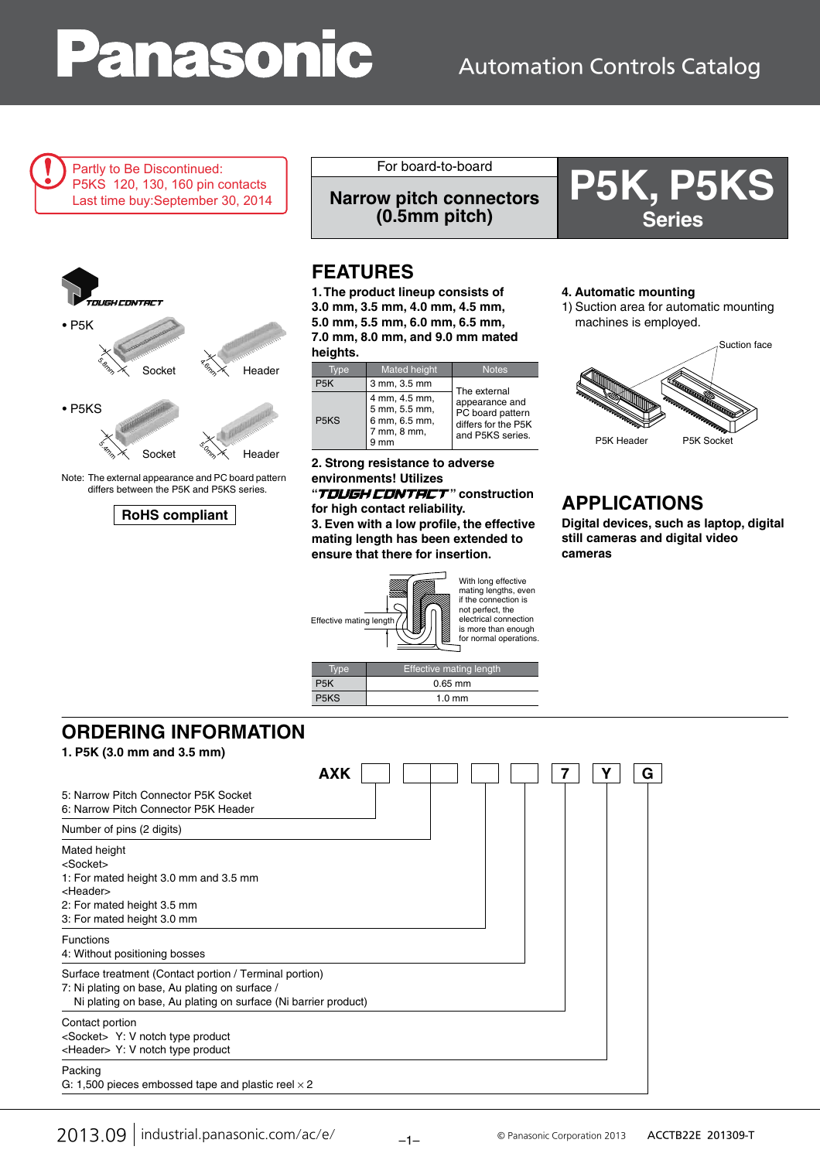# **anasonic**

### Automation Controls Catalog

Partly to Be Discontinued: P5KS 120, 130, 160 pin contacts Last time buy:September 30, 2014



Note: The external appearance and PC board pattern differs between the P5K and P5KS series.

### **RoHS compliant**

For board-to-board<br>w pitch connectors **P5K, P5KS Narrow pitch connectors (0.5mm pitch)**

### **FEATURES**

**1. The product lineup consists of 3.0 mm, 3.5 mm, 4.0 mm, 4.5 mm, 5.0 mm, 5.5 mm, 6.0 mm, 6.5 mm, 7.0 mm, 8.0 mm, and 9.0 mm mated heights.**

|                               | <b>Mated height</b>                                                  | <b>Notes</b>                                                                  |
|-------------------------------|----------------------------------------------------------------------|-------------------------------------------------------------------------------|
| P <sub>5</sub> K              | 3 mm, 3.5 mm                                                         | The external                                                                  |
| P <sub>5</sub> K <sub>S</sub> | 4 mm, 4.5 mm,<br>5 mm, 5.5 mm,<br>6 mm, 6.5 mm,<br>7 mm, 8 mm,<br>mm | appearance and<br>PC board pattern<br>differs for the P5K<br>and P5KS series. |

**2. Strong resistance to adverse environments! Utilizes** 

"T**DUGH CDNTRCT**" construction **for high contact reliability.**

**3. Even with a low profile, the effective mating length has been extended to ensure that there for insertion.**



P5KS 1.0 mm

#### **4. Automatic mounting**

1) Suction area for automatic mounting machines is employed.

**Series**



### **APPLICATIONS**

**Digital devices, such as laptop, digital still cameras and digital video cameras**

| <b>ORDERING INFORMATION</b> |  |  |  |
|-----------------------------|--|--|--|
|                             |  |  |  |

**1. P5K (3.0 mm and 3.5 mm)**

| 1. PON 13.0 MM and 3.5 MM                                                                         |            |  |  |   |
|---------------------------------------------------------------------------------------------------|------------|--|--|---|
|                                                                                                   | <b>AXK</b> |  |  | G |
| 5: Narrow Pitch Connector P5K Socket<br>6: Narrow Pitch Connector P5K Header                      |            |  |  |   |
| Number of pins (2 digits)                                                                         |            |  |  |   |
| Mated height<br><socket><br/>1: For mated height 3.0 mm and 3.5 mm<br/><header></header></socket> |            |  |  |   |

2: For mated height 3.5 mm 3: For mated height 3.0 mm

Functions

4: Without positioning bosses

Surface treatment (Contact portion / Terminal portion)

7: Ni plating on base, Au plating on surface /

Ni plating on base, Au plating on surface (Ni barrier product)

### Contact portion

<Socket> Y: V notch type product <Header> Y: V notch type product

#### Packing

G: 1,500 pieces embossed tape and plastic reel  $\times$  2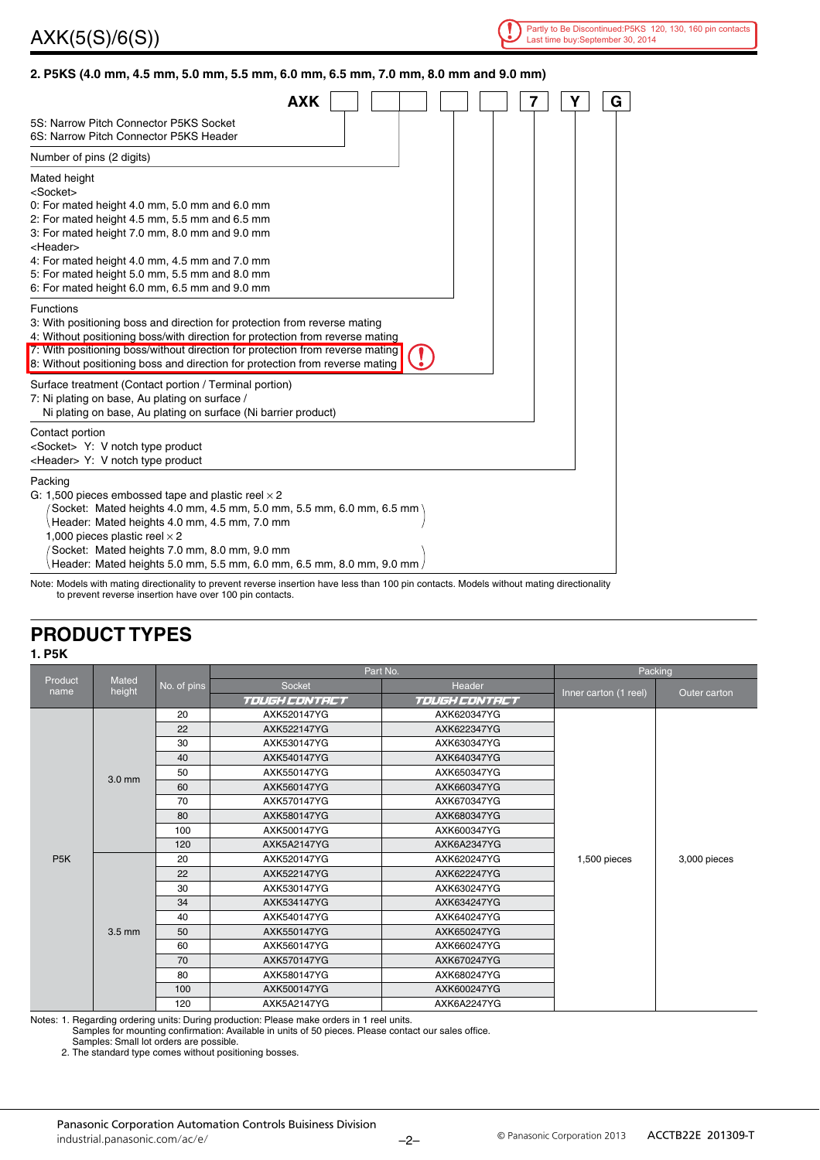

### **2. P5KS (4.0 mm, 4.5 mm, 5.0 mm, 5.5 mm, 6.0 mm, 6.5 mm, 7.0 mm, 8.0 mm and 9.0 mm)**

| <b>AXK</b>                                                                                                                                                                                                                                                                                                                                                          |  | 7 | Y<br>G |
|---------------------------------------------------------------------------------------------------------------------------------------------------------------------------------------------------------------------------------------------------------------------------------------------------------------------------------------------------------------------|--|---|--------|
| 5S: Narrow Pitch Connector P5KS Socket<br>6S: Narrow Pitch Connector P5KS Header                                                                                                                                                                                                                                                                                    |  |   |        |
| Number of pins (2 digits)                                                                                                                                                                                                                                                                                                                                           |  |   |        |
| Mated height<br><socket><br/>0: For mated height 4.0 mm, 5.0 mm and 6.0 mm<br/>2: For mated height 4.5 mm, 5.5 mm and 6.5 mm<br/>3: For mated height 7.0 mm, 8.0 mm and 9.0 mm<br/><header><br/>4: For mated height 4.0 mm, 4.5 mm and 7.0 mm<br/>5: For mated height 5.0 mm, 5.5 mm and 8.0 mm<br/>6: For mated height 6.0 mm, 6.5 mm and 9.0 mm</header></socket> |  |   |        |
| <b>Functions</b><br>3: With positioning boss and direction for protection from reverse mating<br>4: Without positioning boss/with direction for protection from reverse mating<br>7: With positioning boss/without direction for protection from reverse mating<br>8: Without positioning boss and direction for protection from reverse mating                     |  |   |        |
| Surface treatment (Contact portion / Terminal portion)<br>7: Ni plating on base, Au plating on surface /<br>Ni plating on base, Au plating on surface (Ni barrier product)                                                                                                                                                                                          |  |   |        |
| Contact portion<br><socket> Y: V notch type product<br/><header> Y: V notch type product</header></socket>                                                                                                                                                                                                                                                          |  |   |        |
| Packing<br>G: 1,500 pieces embossed tape and plastic reel $\times$ 2<br>Socket: Mated heights 4.0 mm, 4.5 mm, 5.0 mm, 5.5 mm, 6.0 mm, 6.5 mm<br>Header: Mated heights 4.0 mm, 4.5 mm, 7.0 mm<br>1,000 pieces plastic reel $\times$ 2<br>Socket: Mated heights 7.0 mm, 8.0 mm, 9.0 mm<br>Header: Mated heights 5.0 mm, 5.5 mm, 6.0 mm, 6.5 mm, 8.0 mm, 9.0 mm        |  |   |        |

Note: Models with mating directionality to prevent reverse insertion have less than 100 pin contacts. Models without mating directionality to prevent reverse insertion have over 100 pin contacts.

### **PRODUCT TYPES**

#### **1. P5K**

|                  |                  |             | Part No.                | Packing              |                       |              |  |
|------------------|------------------|-------------|-------------------------|----------------------|-----------------------|--------------|--|
| Product<br>name  | Mated<br>height  | No. of pins | <b>Socket</b><br>Header |                      | Inner carton (1 reel) | Outer carton |  |
|                  |                  |             | TOUGH CONTACT           | <b>TOUGH CONTRCT</b> |                       |              |  |
|                  |                  | 20          | AXK520147YG             | AXK620347YG          |                       |              |  |
|                  |                  | 22          | AXK522147YG             | AXK622347YG          |                       |              |  |
|                  |                  | 30          | AXK530147YG             | AXK630347YG          |                       |              |  |
|                  |                  | 40          | AXK540147YG             | AXK640347YG          |                       |              |  |
|                  | 3.0 mm           | 50          | AXK550147YG             | AXK650347YG          |                       |              |  |
|                  |                  | 60          | AXK560147YG             | AXK660347YG          |                       |              |  |
|                  |                  | 70          | AXK570147YG             | AXK670347YG          |                       |              |  |
|                  |                  | 80          | AXK580147YG             | AXK680347YG          |                       |              |  |
|                  |                  | 100         | AXK500147YG             | AXK600347YG          |                       |              |  |
|                  |                  | 120         | AXK5A2147YG             | AXK6A2347YG          |                       |              |  |
| P <sub>5</sub> K |                  | 20          | AXK520147YG             | AXK620247YG          | 1,500 pieces          | 3,000 pieces |  |
|                  |                  | 22          | AXK522147YG             | AXK622247YG          |                       |              |  |
|                  |                  | 30          | AXK530147YG             | AXK630247YG          |                       |              |  |
|                  |                  | 34          | AXK534147YG             | AXK634247YG          |                       |              |  |
|                  |                  | 40          | AXK540147YG             | AXK640247YG          |                       |              |  |
|                  | $3.5 \text{ mm}$ | 50          | AXK550147YG             | AXK650247YG          |                       |              |  |
|                  |                  | 60          | AXK560147YG             | AXK660247YG          |                       |              |  |
|                  |                  | 70          | AXK570147YG             | AXK670247YG          |                       |              |  |
|                  |                  | 80          | AXK580147YG             | AXK680247YG          |                       |              |  |
|                  |                  | 100         | AXK500147YG             | AXK600247YG          |                       |              |  |
|                  |                  |             | 120                     | AXK5A2147YG          | AXK6A2247YG           |              |  |

Notes: 1. Regarding ordering units: During production: Please make orders in 1 reel units.

Samples for mounting confirmation: Available in units of 50 pieces. Please contact our sales office.

Samples: Small lot orders are possible.

2. The standard type comes without positioning bosses.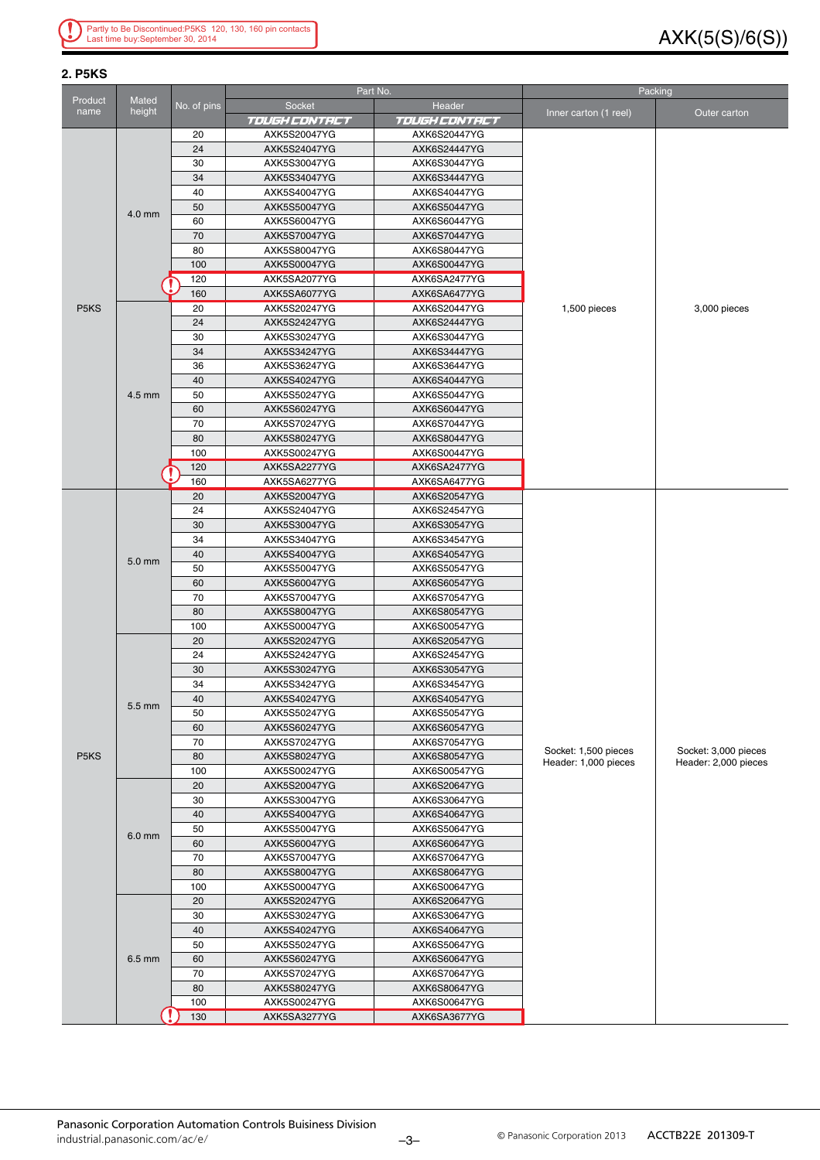### AXK(5(S)/6(S))

| <b>2. P5KS</b>                |                 |             |                              |                              |                                              |                                              |  |
|-------------------------------|-----------------|-------------|------------------------------|------------------------------|----------------------------------------------|----------------------------------------------|--|
|                               |                 |             |                              | Part No.                     |                                              | Packing                                      |  |
| Product<br>name               | Mated<br>height | No. of pins | Socket                       | Header                       | Inner carton (1 reel)                        | Outer carton                                 |  |
|                               |                 |             | <i>TOUGH CONTRCT</i>         | <b>TOUGH CONTRCT</b>         |                                              |                                              |  |
|                               |                 | 20          | AXK5S20047YG                 | AXK6S20447YG                 |                                              |                                              |  |
|                               |                 | 24          | AXK5S24047YG                 | AXK6S24447YG                 |                                              |                                              |  |
|                               |                 | 30          | AXK5S30047YG                 | AXK6S30447YG                 |                                              |                                              |  |
|                               | $4.0$ mm        | 34          | AXK5S34047YG                 | AXK6S34447YG                 |                                              |                                              |  |
|                               |                 | 40<br>50    | AXK5S40047YG<br>AXK5S50047YG | AXK6S40447YG<br>AXK6S50447YG |                                              |                                              |  |
|                               |                 | 60          | AXK5S60047YG                 | AXK6S60447YG                 |                                              |                                              |  |
|                               |                 | 70          | AXK5S70047YG                 | AXK6S70447YG                 |                                              |                                              |  |
|                               |                 | 80          | AXK5S80047YG                 | AXK6S80447YG                 |                                              |                                              |  |
|                               |                 | 100         | AXK5S00047YG                 | AXK6S00447YG                 |                                              |                                              |  |
|                               |                 | 120         | AXK5SA2077YG                 | AXK6SA2477YG                 |                                              |                                              |  |
|                               |                 | 160         | AXK5SA6077YG                 | AXK6SA6477YG                 |                                              |                                              |  |
| P <sub>5</sub> K <sub>S</sub> |                 | 20          | AXK5S20247YG                 | AXK6S20447YG                 | 1,500 pieces                                 | 3,000 pieces                                 |  |
|                               |                 | 24          | AXK5S24247YG                 | AXK6S24447YG                 |                                              |                                              |  |
|                               |                 | 30          | AXK5S30247YG                 | AXK6S30447YG                 |                                              |                                              |  |
|                               |                 | 34          | AXK5S34247YG                 | AXK6S34447YG                 |                                              |                                              |  |
|                               |                 | 36          | AXK5S36247YG                 | AXK6S36447YG                 |                                              |                                              |  |
|                               |                 | 40          | AXK5S40247YG                 | AXK6S40447YG                 |                                              |                                              |  |
|                               | 4.5 mm          | 50          | AXK5S50247YG                 | AXK6S50447YG                 |                                              |                                              |  |
|                               |                 | 60          | AXK5S60247YG                 | AXK6S60447YG                 |                                              |                                              |  |
|                               |                 | 70          | AXK5S70247YG                 | AXK6S70447YG                 |                                              |                                              |  |
|                               |                 | 80          | AXK5S80247YG                 | AXK6S80447YG                 |                                              |                                              |  |
|                               |                 | 100<br>120  | AXK5S00247YG<br>AXK5SA2277YG | AXK6S00447YG<br>AXK6SA2477YG |                                              |                                              |  |
|                               |                 | 160         | AXK5SA6277YG                 | AXK6SA6477YG                 |                                              |                                              |  |
|                               |                 | 20          | AXK5S20047YG                 | AXK6S20547YG                 |                                              |                                              |  |
|                               |                 | 24          | AXK5S24047YG                 | AXK6S24547YG                 |                                              |                                              |  |
|                               |                 | 30          | AXK5S30047YG                 | AXK6S30547YG                 |                                              |                                              |  |
|                               |                 | 34          | AXK5S34047YG                 | AXK6S34547YG                 |                                              |                                              |  |
|                               |                 | 40          | AXK5S40047YG                 | AXK6S40547YG                 |                                              |                                              |  |
|                               | 5.0 mm          | 50          | AXK5S50047YG                 | AXK6S50547YG                 |                                              |                                              |  |
|                               |                 | 60          | AXK5S60047YG                 | AXK6S60547YG                 |                                              |                                              |  |
|                               |                 | 70          | AXK5S70047YG                 | AXK6S70547YG                 |                                              |                                              |  |
|                               |                 | 80          | AXK5S80047YG                 | AXK6S80547YG                 |                                              |                                              |  |
|                               |                 | 100         | AXK5S00047YG                 | AXK6S00547YG                 |                                              |                                              |  |
|                               |                 | 20          | AXK5S20247YG                 | AXK6S20547YG                 |                                              |                                              |  |
|                               |                 | 24          | AXK5S24247YG                 | AXK6S24547YG                 |                                              |                                              |  |
|                               |                 | 30<br>34    | AXK5S30247YG<br>AXK5S34247YG | AXK6S30547YG<br>AXK6S34547YG |                                              |                                              |  |
|                               |                 | 40          | AXK5S40247YG                 | AXK6S40547YG                 |                                              |                                              |  |
|                               | 5.5 mm          | 50          | AXK5S50247YG                 | AXK6S50547YG                 |                                              |                                              |  |
|                               |                 | 60          | AXK5S60247YG                 | AXK6S60547YG                 |                                              |                                              |  |
|                               |                 | 70          | AXK5S70247YG                 | AXK6S70547YG                 |                                              |                                              |  |
| P <sub>5</sub> K <sub>S</sub> |                 | 80          | AXK5S80247YG                 | AXK6S80547YG                 | Socket: 1,500 pieces<br>Header: 1,000 pieces | Socket: 3,000 pieces<br>Header: 2,000 pieces |  |
|                               |                 | 100         | AXK5S00247YG                 | AXK6S00547YG                 |                                              |                                              |  |
|                               |                 | 20          | AXK5S20047YG                 | AXK6S20647YG                 |                                              |                                              |  |
|                               |                 | 30          | AXK5S30047YG                 | AXK6S30647YG                 |                                              |                                              |  |
|                               |                 | 40          | AXK5S40047YG                 | AXK6S40647YG                 |                                              |                                              |  |
|                               | 6.0 mm          | 50          | AXK5S50047YG                 | AXK6S50647YG                 |                                              |                                              |  |
|                               |                 | 60          | AXK5S60047YG                 | AXK6S60647YG                 |                                              |                                              |  |
|                               |                 | 70          | AXK5S70047YG                 | AXK6S70647YG                 |                                              |                                              |  |
|                               |                 | 80<br>100   | AXK5S80047YG                 | AXK6S80647YG<br>AXK6S00647YG |                                              |                                              |  |
|                               |                 | 20          | AXK5S00047YG<br>AXK5S20247YG | AXK6S20647YG                 |                                              |                                              |  |
|                               |                 | 30          | AXK5S30247YG                 | AXK6S30647YG                 |                                              |                                              |  |
|                               |                 | 40          | AXK5S40247YG                 | AXK6S40647YG                 |                                              |                                              |  |
|                               |                 | 50          | AXK5S50247YG                 | AXK6S50647YG                 |                                              |                                              |  |
|                               | 6.5 mm          | 60          | AXK5S60247YG                 | AXK6S60647YG                 |                                              |                                              |  |
|                               |                 | 70          | AXK5S70247YG                 | AXK6S70647YG                 |                                              |                                              |  |
|                               |                 | 80          | AXK5S80247YG                 | AXK6S80647YG                 |                                              |                                              |  |
|                               |                 | 100         | AXK5S00247YG                 | AXK6S00647YG                 |                                              |                                              |  |
|                               |                 | 130         | AXK5SA3277YG                 | AXK6SA3677YG                 |                                              |                                              |  |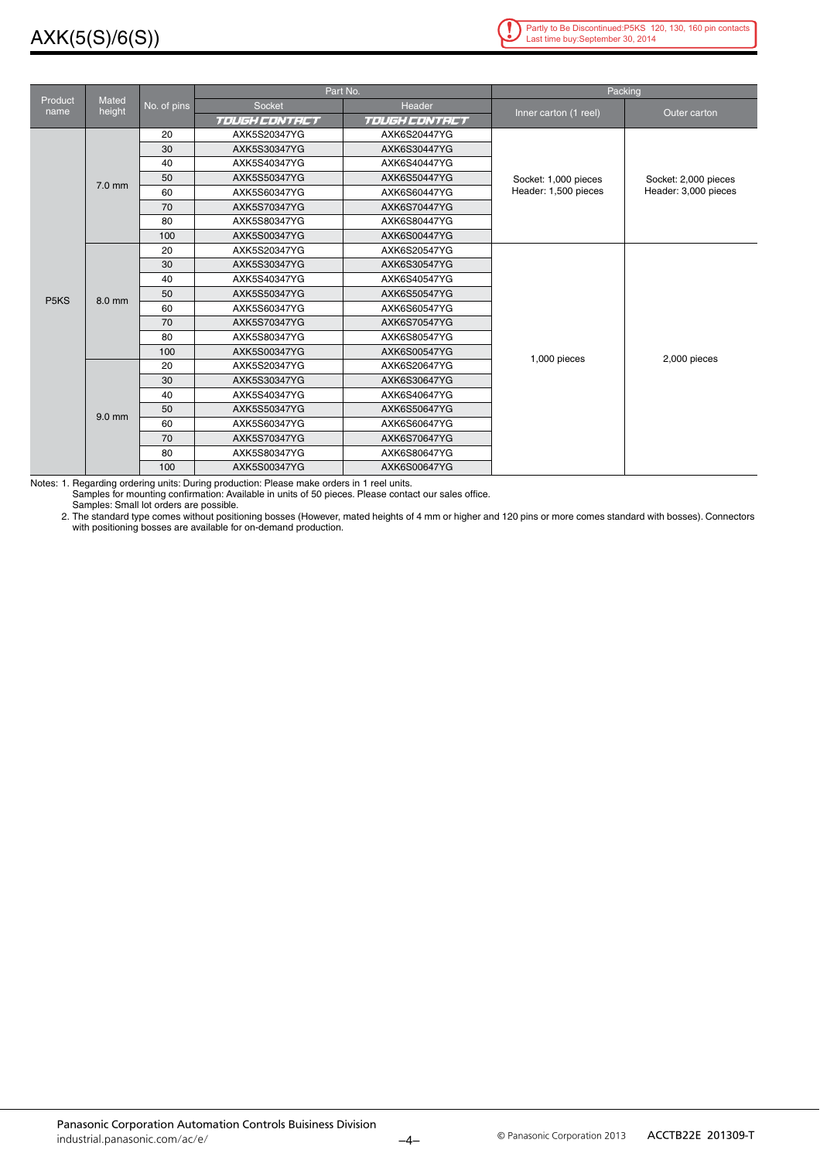### AXK(5(S)/6(S))



|                               |                        |             |                      | Part No.      |                       | Packing              |  |
|-------------------------------|------------------------|-------------|----------------------|---------------|-----------------------|----------------------|--|
| Product<br>name               | <b>Mated</b><br>height | No. of pins | Socket               | Header        |                       |                      |  |
|                               |                        |             | <b>TOUGH CONTRCT</b> | TOUGH CONTRCT | Inner carton (1 reel) | Outer carton         |  |
|                               |                        | 20          | AXK5S20347YG         | AXK6S20447YG  |                       |                      |  |
|                               |                        | 30          | AXK5S30347YG         | AXK6S30447YG  |                       |                      |  |
|                               |                        | 40          | AXK5S40347YG         | AXK6S40447YG  |                       |                      |  |
|                               | $7.0$ mm               | 50          | AXK5S50347YG         | AXK6S50447YG  | Socket: 1,000 pieces  | Socket: 2,000 pieces |  |
|                               |                        | 60          | AXK5S60347YG         | AXK6S60447YG  | Header: 1,500 pieces  | Header: 3,000 pieces |  |
|                               |                        | 70          | AXK5S70347YG         | AXK6S70447YG  |                       |                      |  |
|                               |                        | 80          | AXK5S80347YG         | AXK6S80447YG  |                       |                      |  |
|                               |                        | 100         | AXK5S00347YG         | AXK6S00447YG  |                       |                      |  |
|                               |                        | 20          | AXK5S20347YG         | AXK6S20547YG  |                       |                      |  |
|                               |                        | 30          | AXK5S30347YG         | AXK6S30547YG  |                       |                      |  |
|                               |                        | 40          | AXK5S40347YG         | AXK6S40547YG  |                       |                      |  |
| P <sub>5</sub> K <sub>S</sub> | 8.0 mm                 | 50          | AXK5S50347YG         | AXK6S50547YG  |                       |                      |  |
|                               |                        | 60          | AXK5S60347YG         | AXK6S60547YG  |                       |                      |  |
|                               |                        | 70          | AXK5S70347YG         | AXK6S70547YG  |                       |                      |  |
|                               |                        | 80          | AXK5S80347YG         | AXK6S80547YG  |                       |                      |  |
|                               |                        | 100         | AXK5S00347YG         | AXK6S00547YG  | 1,000 pieces          | 2,000 pieces         |  |
|                               |                        | 20          | AXK5S20347YG         | AXK6S20647YG  |                       |                      |  |
|                               |                        | 30          | AXK5S30347YG         | AXK6S30647YG  |                       |                      |  |
|                               |                        | 40          | AXK5S40347YG         | AXK6S40647YG  |                       |                      |  |
|                               | $9.0$ mm               | 50          | AXK5S50347YG         | AXK6S50647YG  |                       |                      |  |
|                               |                        | 60          | AXK5S60347YG         | AXK6S60647YG  |                       |                      |  |
|                               |                        | 70          | AXK5S70347YG         | AXK6S70647YG  |                       |                      |  |
|                               |                        | 80          | AXK5S80347YG         | AXK6S80647YG  |                       |                      |  |
|                               |                        | 100         | AXK5S00347YG         | AXK6S00647YG  |                       |                      |  |

Notes: 1. Regarding ordering units: During production: Please make orders in 1 reel units.

Samples for mounting confirmation: Available in units of 50 pieces. Please contact our sales office. Samples: Small lot orders are possible.

2. The standard type comes without positioning bosses (However, mated heights of 4 mm or higher and 120 pins or more comes standard with bosses). Connectors with positioning bosses are available for on-demand production.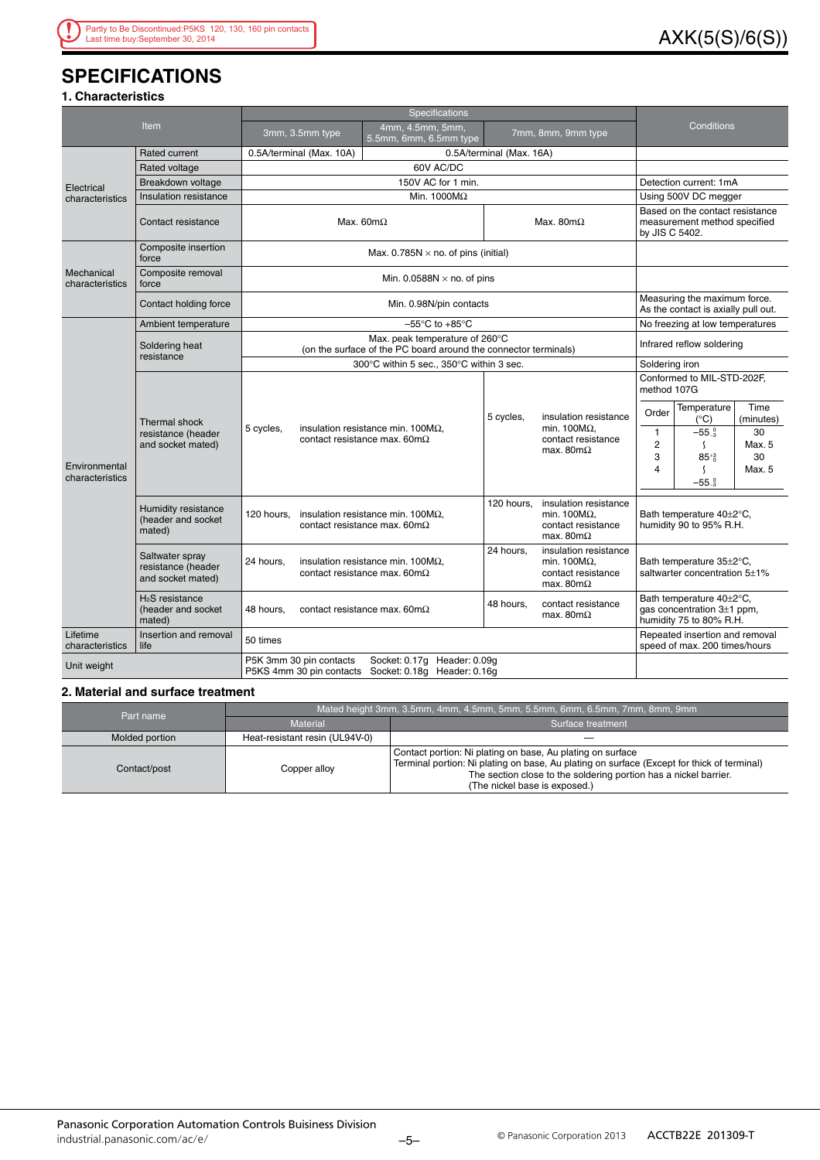### AXK(5(S)/6(S))

### **SPECIFICATIONS**

### **1. Characteristics**

|                                  |                                                             | Specifications                                                                                                 |                                                                                           |                          |                                                                                         |                                                                                   |                                                                                       |                         |  |
|----------------------------------|-------------------------------------------------------------|----------------------------------------------------------------------------------------------------------------|-------------------------------------------------------------------------------------------|--------------------------|-----------------------------------------------------------------------------------------|-----------------------------------------------------------------------------------|---------------------------------------------------------------------------------------|-------------------------|--|
|                                  | Item                                                        | 3mm, 3.5mm type                                                                                                | 4mm, 4.5mm, 5mm,<br>5.5mm, 6mm, 6.5mm type                                                |                          | 7mm, 8mm, 9mm type                                                                      |                                                                                   | Conditions                                                                            |                         |  |
|                                  | <b>Rated current</b>                                        | 0.5A/terminal (Max. 10A)                                                                                       |                                                                                           | 0.5A/terminal (Max. 16A) |                                                                                         |                                                                                   |                                                                                       |                         |  |
|                                  | Rated voltage                                               |                                                                                                                | 60V AC/DC                                                                                 |                          |                                                                                         |                                                                                   |                                                                                       |                         |  |
| Electrical                       | Breakdown voltage                                           |                                                                                                                | 150V AC for 1 min.                                                                        |                          |                                                                                         |                                                                                   | Detection current: 1mA                                                                |                         |  |
| characteristics                  | Insulation resistance                                       |                                                                                                                | Min. $1000M\Omega$                                                                        |                          |                                                                                         |                                                                                   | Using 500V DC megger                                                                  |                         |  |
|                                  | Contact resistance                                          |                                                                                                                | Max. $60m\Omega$                                                                          | Max. 80 $m\Omega$        |                                                                                         | Based on the contact resistance<br>measurement method specified<br>by JIS C 5402. |                                                                                       |                         |  |
|                                  | Composite insertion<br>force                                |                                                                                                                | Max. 0.785N $\times$ no. of pins (initial)                                                |                          |                                                                                         |                                                                                   |                                                                                       |                         |  |
| Mechanical<br>characteristics    | Composite removal<br>force                                  |                                                                                                                | Min. 0.0588N $\times$ no. of pins                                                         |                          |                                                                                         |                                                                                   |                                                                                       |                         |  |
|                                  | Contact holding force                                       |                                                                                                                | Min. 0.98N/pin contacts                                                                   |                          |                                                                                         |                                                                                   | Measuring the maximum force.<br>As the contact is axially pull out.                   |                         |  |
|                                  | Ambient temperature                                         |                                                                                                                | $-55^{\circ}$ C to $+85^{\circ}$ C                                                        |                          |                                                                                         |                                                                                   | No freezing at low temperatures                                                       |                         |  |
|                                  | Soldering heat<br>resistance                                | Max. peak temperature of 260°C<br>(on the surface of the PC board around the connector terminals)              |                                                                                           |                          |                                                                                         |                                                                                   | Infrared reflow soldering                                                             |                         |  |
|                                  |                                                             | 300°C within 5 sec., 350°C within 3 sec.                                                                       | Soldering iron                                                                            |                          |                                                                                         |                                                                                   |                                                                                       |                         |  |
|                                  | Thermal shock<br>resistance (header<br>and socket mated)    |                                                                                                                |                                                                                           |                          |                                                                                         | Conformed to MIL-STD-202F,<br>method 107G                                         |                                                                                       |                         |  |
|                                  |                                                             | 5 cycles,                                                                                                      | insulation resistance min. $100M\Omega$ ,<br>contact resistance max. 60m $\Omega$         | 5 cycles,                | insulation resistance<br>min. 100 $M\Omega$ ,                                           | Order<br>$\mathbf{1}$                                                             | Temperature<br>$(^{\circ}C)$<br>$-550$                                                | Time<br>(minutes)<br>30 |  |
| Environmental<br>characteristics |                                                             |                                                                                                                |                                                                                           |                          | contact resistance<br>max. 80m $\Omega$                                                 | $\overline{c}$<br>3<br>$\overline{4}$                                             | $\mathcal{L}_{\mathcal{L}}$<br>$85^{+3}$<br>$\mathcal{L}_{\mathcal{L}}$               | Max. 5<br>30<br>Max. 5  |  |
|                                  |                                                             |                                                                                                                |                                                                                           |                          |                                                                                         |                                                                                   | $-55-3$                                                                               |                         |  |
|                                  | Humidity resistance<br>(header and socket<br>mated)         | 120 hours,                                                                                                     | insulation resistance min. 100 $M\Omega$ ,<br>contact resistance max. $60 \text{m}\Omega$ | 120 hours.               | insulation resistance<br>min. 100 $M\Omega$ ,<br>contact resistance<br>max. $80m\Omega$ | Bath temperature 40±2°C,<br>humidity 90 to 95% R.H.                               |                                                                                       |                         |  |
|                                  | Saltwater spray<br>resistance (header<br>and socket mated)  | 24 hours,                                                                                                      | insulation resistance min. $100M\Omega$ ,<br>contact resistance max. 60m $\Omega$         | 24 hours,                | insulation resistance<br>min. 100 $M\Omega$ ,<br>contact resistance<br>max. $80m\Omega$ | Bath temperature 35±2°C,<br>saltwarter concentration 5±1%                         |                                                                                       |                         |  |
|                                  | H <sub>2</sub> S resistance<br>(header and socket<br>mated) | 48 hours.                                                                                                      | contact resistance max. $60m\Omega$                                                       | 48 hours,                | contact resistance<br>max. 80m $\Omega$                                                 |                                                                                   | Bath temperature 40±2°C,<br>gas concentration $3\pm1$ ppm,<br>humidity 75 to 80% R.H. |                         |  |
| Lifetime<br>characteristics      | Insertion and removal<br>life                               | 50 times                                                                                                       |                                                                                           |                          |                                                                                         |                                                                                   | Repeated insertion and removal<br>speed of max. 200 times/hours                       |                         |  |
| Unit weight                      |                                                             | P5K 3mm 30 pin contacts<br>Socket: 0.17g Header: 0.09g<br>P5KS 4mm 30 pin contacts Socket: 0.18q Header: 0.16q |                                                                                           |                          |                                                                                         |                                                                                   |                                                                                       |                         |  |

#### **2. Material and surface treatment**

| Part name      | Mated height 3mm, 3.5mm, 4mm, 4.5mm, 5mm, 5.5mm, 6mm, 6.5mm, 7mm, 8mm, 9mm |                                                                                                                                                                                                                                                               |  |  |  |
|----------------|----------------------------------------------------------------------------|---------------------------------------------------------------------------------------------------------------------------------------------------------------------------------------------------------------------------------------------------------------|--|--|--|
|                | Material                                                                   | Surface treatment                                                                                                                                                                                                                                             |  |  |  |
| Molded portion | Heat-resistant resin (UL94V-0)                                             |                                                                                                                                                                                                                                                               |  |  |  |
| Contact/post   | Copper alloy                                                               | Contact portion: Ni plating on base, Au plating on surface<br>Terminal portion: Ni plating on base, Au plating on surface (Except for thick of terminal)<br>The section close to the soldering portion has a nickel barrier.<br>(The nickel base is exposed.) |  |  |  |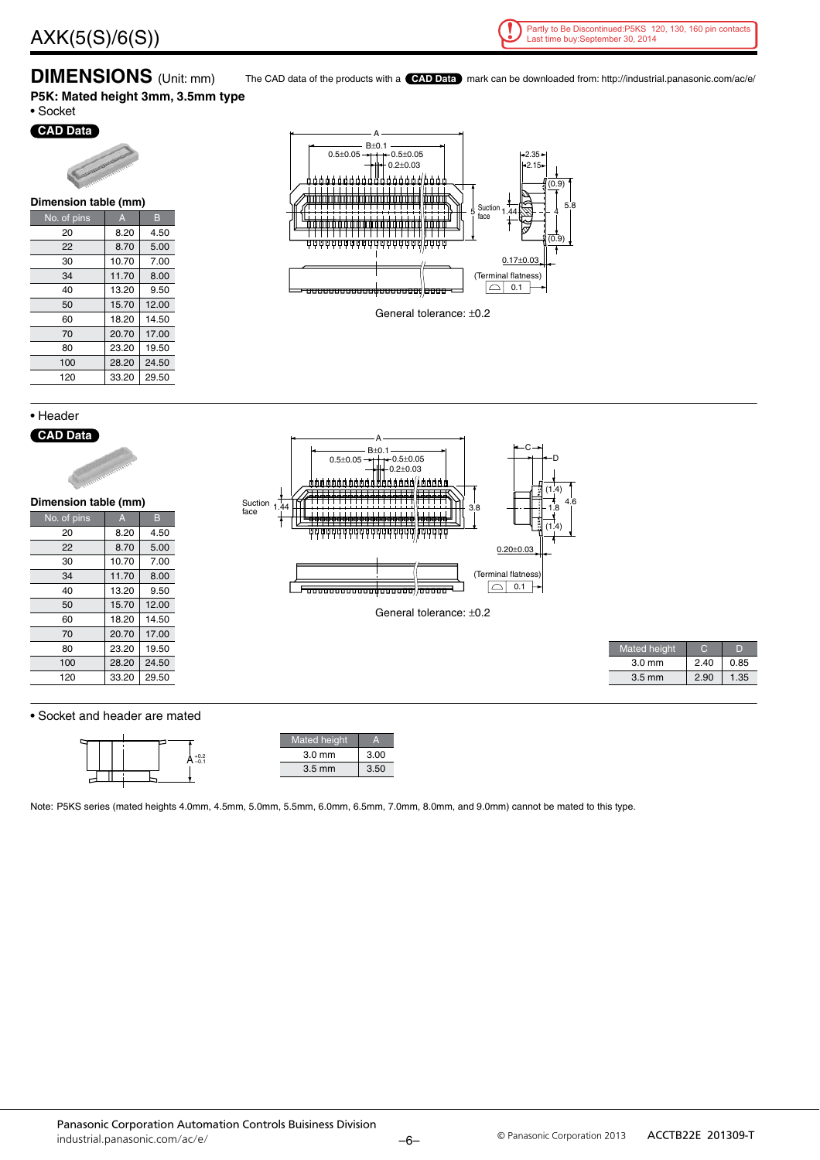

4

5.8

**DIMENSIONS** (Unit: mm) The CAD data of the products with a **CAD Data** mark can be downloaded from: http://industrial.panasonic.com/ac/e/ **P5K: Mated height 3mm, 3.5mm type**

• Socket





| Dimension table (mm) |       |       |  |  |  |  |  |  |
|----------------------|-------|-------|--|--|--|--|--|--|
| No. of pins          | A     | в     |  |  |  |  |  |  |
| 20                   | 8.20  | 4.50  |  |  |  |  |  |  |
| 22                   | 8.70  | 5.00  |  |  |  |  |  |  |
| 30                   | 10.70 | 7.00  |  |  |  |  |  |  |
| 34                   | 11.70 | 8.00  |  |  |  |  |  |  |
| 40                   | 13.20 | 9.50  |  |  |  |  |  |  |
| 50                   | 15.70 | 12.00 |  |  |  |  |  |  |
| 60                   | 18.20 | 14.50 |  |  |  |  |  |  |
| 70                   | 20.70 | 17.00 |  |  |  |  |  |  |
| 80                   | 23.20 | 19.50 |  |  |  |  |  |  |
| 100                  | 28.20 | 24.50 |  |  |  |  |  |  |
| 120                  | 33.20 | 29.50 |  |  |  |  |  |  |
|                      |       |       |  |  |  |  |  |  |

• Header **CAD Data**



• Socket and header are mated

80 23.20 19.50 100 28.20 24.50 120 33.20 29.50

|  |  |  | $A_{-0.1}^{+0.2}$ |  |  |
|--|--|--|-------------------|--|--|
|  |  |  |                   |  |  |
|  |  |  |                   |  |  |

Note: P5KS series (mated heights 4.0mm, 4.5mm, 5.0mm, 5.5mm, 6.0mm, 6.5mm, 7.0mm, 8.0mm, and 9.0mm) cannot be mated to this type.

ed heigh 3.0 mm 3.00 3.5 mm 3.50

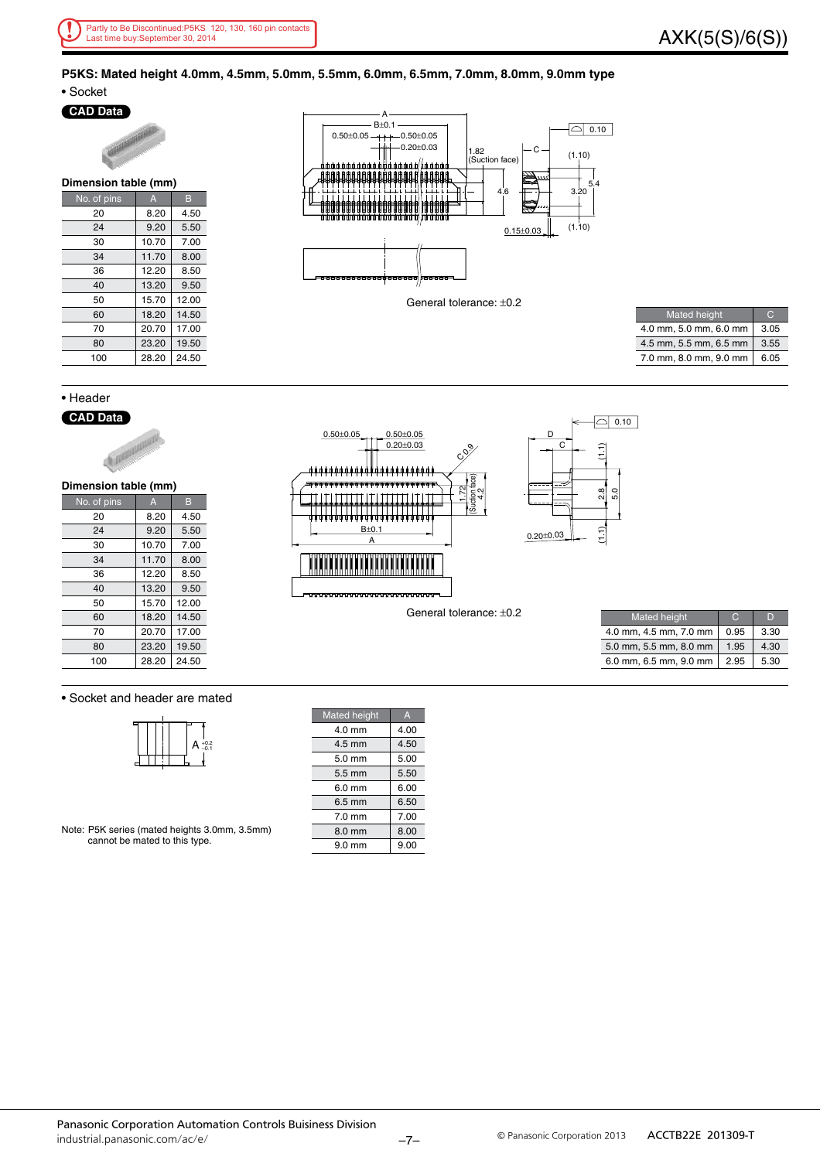#### **P5KS: Mated height 4.0mm, 4.5mm, 5.0mm, 5.5mm, 6.0mm, 6.5mm, 7.0mm, 8.0mm, 9.0mm type** • Socket

### **CAD Data**

| <b>MARTINIAN CORPORATION CONTRACTORY</b> |              |       |  |  |  |
|------------------------------------------|--------------|-------|--|--|--|
| Dimension table (mm)                     |              |       |  |  |  |
| No. of pins                              | $\mathsf{A}$ | в     |  |  |  |
| 20                                       | 8.20         | 4.50  |  |  |  |
| 24                                       | 9.20         | 5.50  |  |  |  |
| 30                                       | 10.70        | 7.00  |  |  |  |
| 34                                       | 11.70        | 8.00  |  |  |  |
| 36                                       | 12.20        | 8.50  |  |  |  |
| 40                                       | 13.20        | 9.50  |  |  |  |
| 50                                       | 15.70        | 12.00 |  |  |  |
| 60                                       | 18.20        | 14.50 |  |  |  |
| 70                                       | 20.70        | 17.00 |  |  |  |
| 80                                       | 23.20        | 19.50 |  |  |  |
| 100                                      | 28.20        | 24.50 |  |  |  |



General tolerance: ±0.2

| <b>Mated height</b>    |      |
|------------------------|------|
| 4.0 mm, 5.0 mm, 6.0 mm | 3.05 |
| 4.5 mm, 5.5 mm, 6.5 mm | 3.55 |
| 7.0 mm, 8.0 mm, 9.0 mm | 6.05 |

#### • Header

### **CAD Data**



| Dimension table (mm) |  |
|----------------------|--|
|                      |  |

| No. of pins | A     | в     |
|-------------|-------|-------|
| 20          | 8.20  | 4.50  |
| 24          | 9.20  | 5.50  |
| 30          | 10.70 | 7.00  |
| 34          | 11.70 | 8.00  |
| 36          | 12.20 | 8.50  |
| 40          | 13.20 | 9.50  |
| 50          | 15.70 | 12.00 |
| 60          | 18.20 | 14.50 |
| 70          | 20.70 | 17.00 |
| 80          | 23.20 | 19.50 |
| 100         | 28.20 | 24.50 |





General tolerance: ±0.2

| <b>Mated height</b>    |      |      |
|------------------------|------|------|
| 4.0 mm, 4.5 mm, 7.0 mm | 0.95 | 3.30 |
| 5.0 mm, 5.5 mm, 8.0 mm | 1.95 | 4.30 |
| 6.0 mm, 6.5 mm, 9.0 mm | 2.95 | 5.30 |

#### • Socket and header are mated

|  |  | $+0.2$<br>$-0.1$<br>A |
|--|--|-----------------------|
|  |  |                       |
|  |  |                       |

Note: P5K series (mated heights 3.0mm, 3.5mm) cannot be mated to this type.

| <b>Mated height</b> | A    |
|---------------------|------|
| $4.0 \text{ mm}$    | 4.00 |
| 4.5 mm              | 4.50 |
| $5.0 \text{ mm}$    | 5.00 |
| $5.5 \text{ mm}$    | 5.50 |
| $6.0 \text{ mm}$    | 6.00 |
| $6.5 \text{ mm}$    | 6.50 |
| $7.0 \text{ mm}$    | 7.00 |
| 8.0 mm              | 8.00 |
| $9.0$ mm            | 9.00 |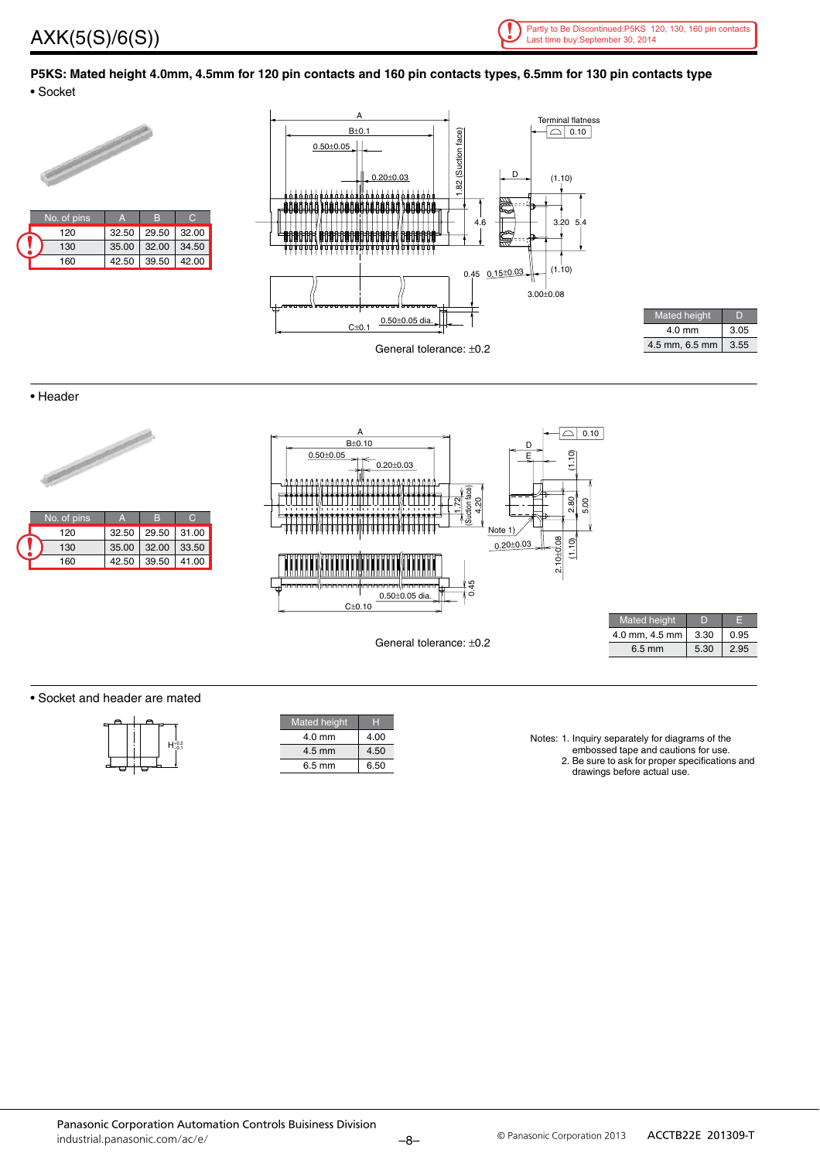



**P5KS: Mated height 4.0mm, 4.5mm for 120 pin contacts and 160 pin contacts types, 6.5mm for 130 pin contacts type** • Socket



| <b>Mated height</b> |      |
|---------------------|------|
| $4.0$ mm            | 3.05 |
| 4.5 mm, 6.5 mm      | 3.55 |

• Header



• Socket and header are mated

| $H_{-0.1}^{+0.2}$ |
|-------------------|
|                   |
|                   |

| <b>Mated</b> height | н    |
|---------------------|------|
| $4.0 \text{ mm}$    | 4.00 |
| $4.5 \text{ mm}$    | 4.50 |
| 6.5 mm              | 6.50 |

Notes: 1. Inquiry separately for diagrams of the

- embossed tape and cautions for use.
	- 2. Be sure to ask for proper specifications and drawings before actual use.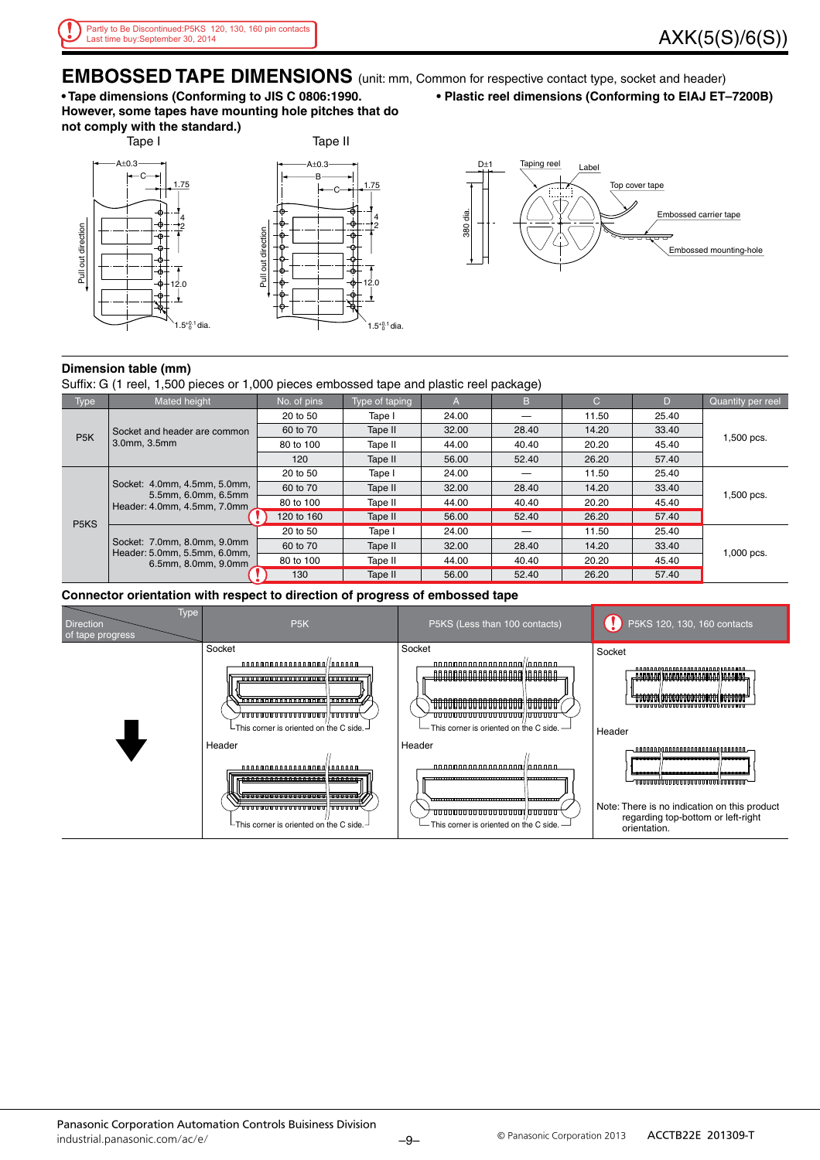**EMBOSSED TAPE DIMENSIONS** (unit: mm, Common for respective contact type, socket and header) **• Tape dimensions (Conforming to JIS C 0806:1990.**

**However, some tapes have mounting hole pitches that do not comply with the standard.)**



**• Plastic reel dimensions (Conforming to EIAJ ET–7200B)**



#### **Dimension table (mm)**

Suffix: G (1 reel, 1,500 pieces or 1,000 pieces embossed tape and plastic reel package)

| Type                                                                               | Mated height                                                                                                        | No. of pins | Type of taping | A     | B     | C     | D          | Quantity per reel |
|------------------------------------------------------------------------------------|---------------------------------------------------------------------------------------------------------------------|-------------|----------------|-------|-------|-------|------------|-------------------|
|                                                                                    |                                                                                                                     | 20 to 50    | Tape I         | 24.00 |       | 11.50 | 25.40      | 1,500 pcs.        |
|                                                                                    | Socket and header are common                                                                                        | 60 to 70    | Tape II        | 32.00 | 28.40 | 14.20 | 33.40      |                   |
|                                                                                    | P <sub>5</sub> K<br>3.0mm, 3.5mm                                                                                    | 80 to 100   | Tape II        | 44.00 | 40.40 | 20.20 | 45.40      |                   |
|                                                                                    |                                                                                                                     | 120         | Tape II        | 56.00 | 52.40 | 26.20 | 57.40      |                   |
| Socket: 4.0mm, 4.5mm, 5.0mm,<br>5.5mm, 6.0mm, 6.5mm<br>Header: 4.0mm, 4.5mm, 7.0mm |                                                                                                                     | 20 to 50    | Tape I         | 24.00 |       | 11.50 | 25.40      |                   |
|                                                                                    | 60 to 70                                                                                                            | Tape II     | 32.00          | 28.40 | 14.20 | 33.40 |            |                   |
|                                                                                    | 80 to 100                                                                                                           | Tape II     | 44.00          | 40.40 | 20.20 | 45.40 | 1,500 pcs. |                   |
|                                                                                    |                                                                                                                     | 120 to 160  | Tape II        | 56.00 | 52.40 | 26.20 | 57.40      |                   |
|                                                                                    | P <sub>5</sub> K <sub>S</sub><br>Socket: 7.0mm, 8.0mm, 9.0mm<br>Header: 5.0mm, 5.5mm, 6.0mm,<br>6.5mm, 8.0mm, 9.0mm | 20 to 50    | Tape I         | 24.00 |       | 11.50 | 25.40      |                   |
|                                                                                    |                                                                                                                     | 60 to 70    | Tape II        | 32.00 | 28.40 | 14.20 | 33.40      |                   |
|                                                                                    |                                                                                                                     | 80 to 100   | Tape II        | 44.00 | 40.40 | 20.20 | 45.40      | 1,000 pcs.        |
|                                                                                    |                                                                                                                     | 130         | Tape II        | 56.00 | 52.40 | 26.20 | 57.40      |                   |

#### **Connector orientation with respect to direction of progress of embossed tape**

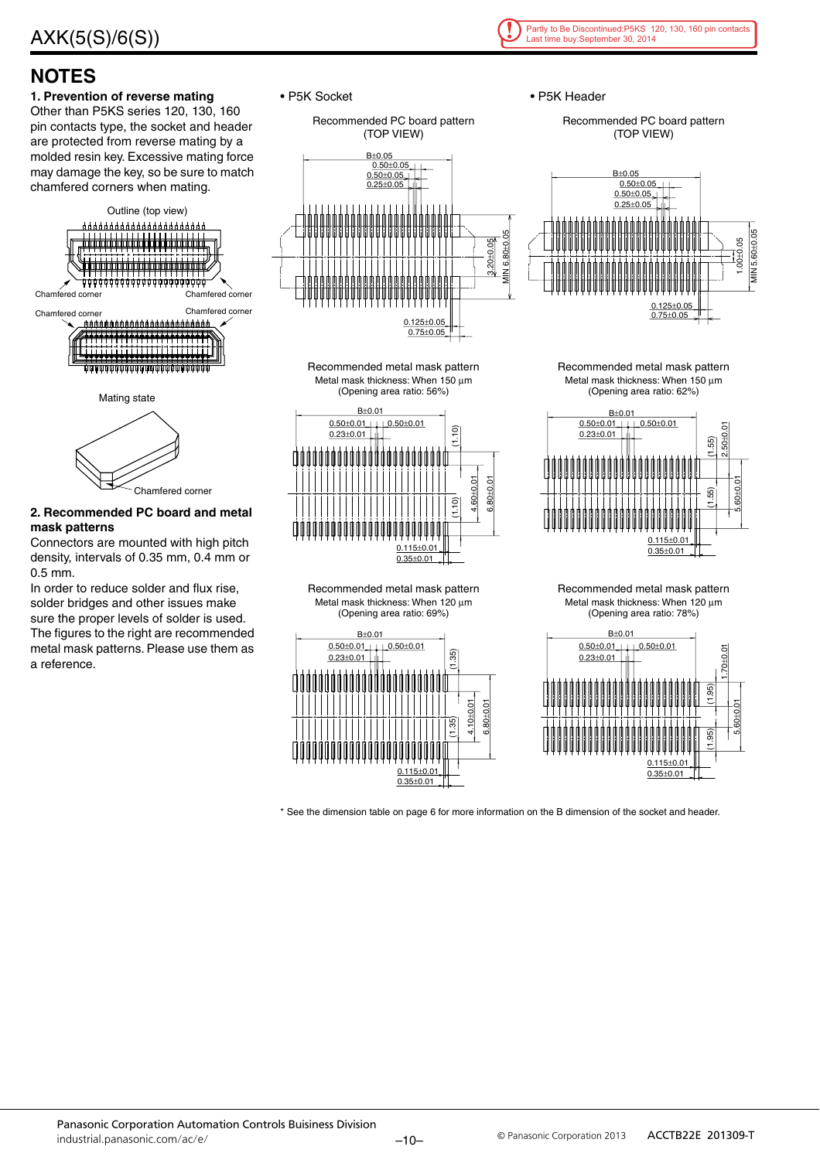

### **NOTES**

#### **1. Prevention of reverse mating** Other than P5KS series 120, 130, 160 pin contacts type, the socket and header are protected from reverse mating by a molded resin key. Excessive mating force may damage the key, so be sure to match





### **2. Recommended PC board and metal mask patterns**

Connectors are mounted with high pitch density, intervals of 0.35 mm, 0.4 mm or 0.5 mm.

In order to reduce solder and flux rise, solder bridges and other issues make sure the proper levels of solder is used. The figures to the right are recommended metal mask patterns. Please use them as a reference.

• P5K Socket













• P5K Header

Recommended PC board pattern (TOP VIEW)



Recommended metal mask pattern Metal mask thickness: When 150  $\mu$ m (Opening area ratio: 62%)



Recommended metal mask pattern Metal mask thickness: When 120 µm (Opening area ratio: 78%)



\* See the dimension table on page 6 for more information on the B dimension of the socket and header.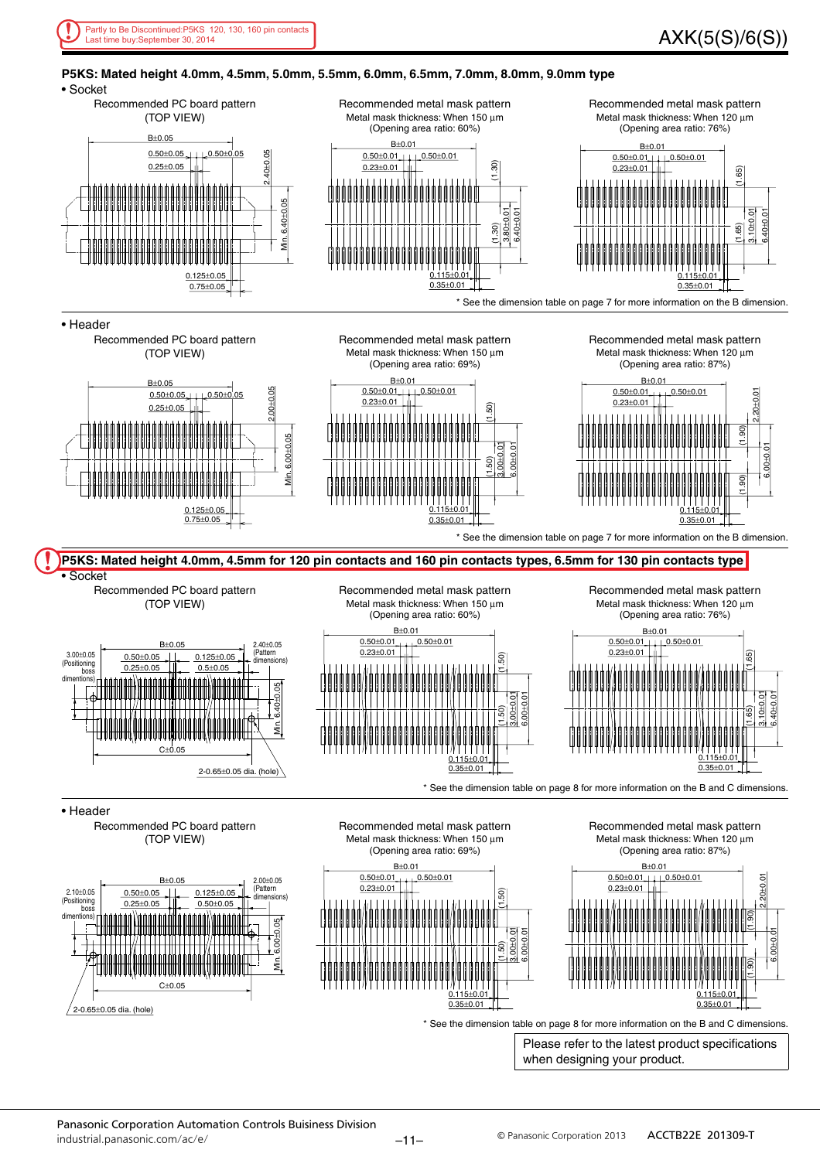

#### **P5KS: Mated height 4.0mm, 4.5mm, 5.0mm, 5.5mm, 6.0mm, 6.5mm, 7.0mm, 8.0mm, 9.0mm type**

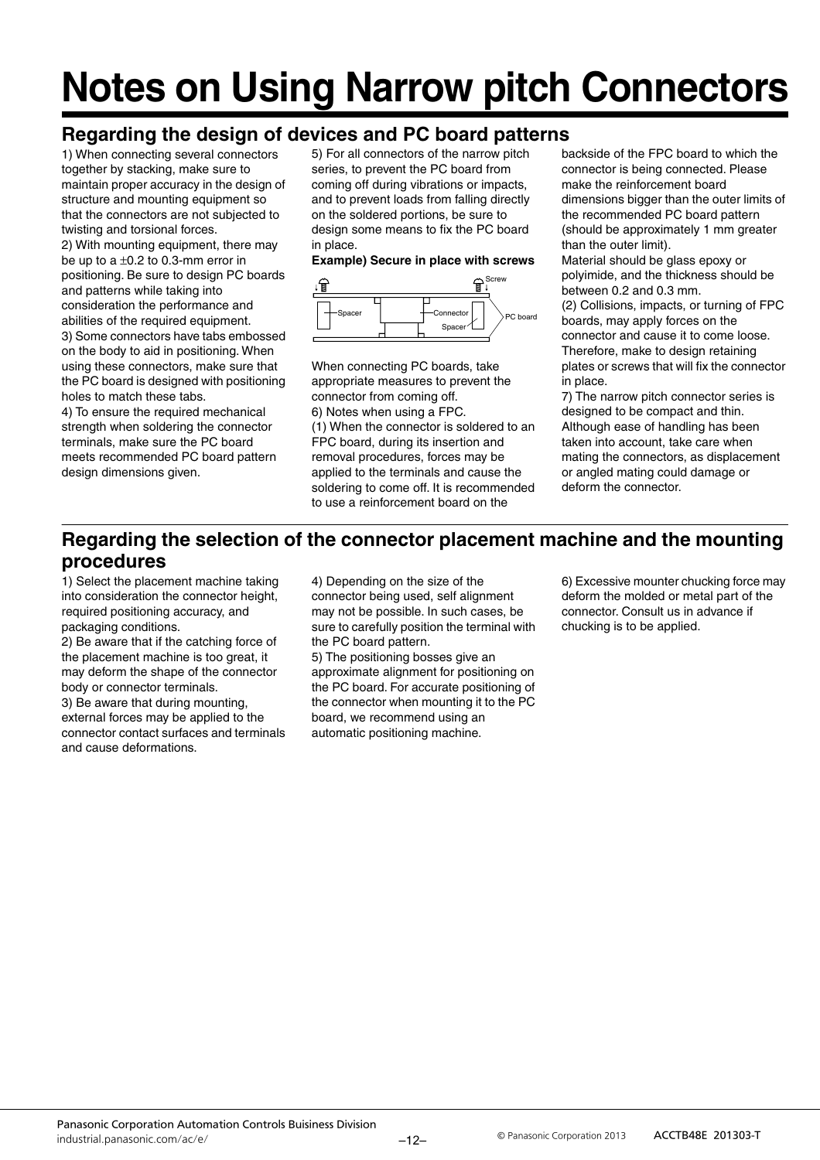## **Notes on Using Narrow pitch Connectors**

### **Regarding the design of devices and PC board patterns**

1) When connecting several connectors together by stacking, make sure to maintain proper accuracy in the design of structure and mounting equipment so that the connectors are not subjected to twisting and torsional forces. 2) With mounting equipment, there may be up to a  $\pm 0.2$  to 0.3-mm error in positioning. Be sure to design PC boards and patterns while taking into consideration the performance and abilities of the required equipment. 3) Some connectors have tabs embossed on the body to aid in positioning. When using these connectors, make sure that the PC board is designed with positioning holes to match these tabs.

4) To ensure the required mechanical strength when soldering the connector terminals, make sure the PC board meets recommended PC board pattern design dimensions given.

5) For all connectors of the narrow pitch series, to prevent the PC board from coming off during vibrations or impacts, and to prevent loads from falling directly on the soldered portions, be sure to design some means to fix the PC board in place.

### **Example) Secure in place with screws**



When connecting PC boards, take appropriate measures to prevent the connector from coming off. 6) Notes when using a FPC. (1) When the connector is soldered to an FPC board, during its insertion and removal procedures, forces may be applied to the terminals and cause the soldering to come off. It is recommended to use a reinforcement board on the

backside of the FPC board to which the connector is being connected. Please make the reinforcement board dimensions bigger than the outer limits of the recommended PC board pattern (should be approximately 1 mm greater than the outer limit).

Material should be glass epoxy or polyimide, and the thickness should be between 0.2 and 0.3 mm.

(2) Collisions, impacts, or turning of FPC boards, may apply forces on the connector and cause it to come loose. Therefore, make to design retaining plates or screws that will fix the connector in place.

7) The narrow pitch connector series is designed to be compact and thin. Although ease of handling has been taken into account, take care when mating the connectors, as displacement or angled mating could damage or deform the connector.

### **Regarding the selection of the connector placement machine and the mounting procedures**

1) Select the placement machine taking into consideration the connector height, required positioning accuracy, and packaging conditions.

2) Be aware that if the catching force of the placement machine is too great, it may deform the shape of the connector body or connector terminals.

3) Be aware that during mounting, external forces may be applied to the connector contact surfaces and terminals and cause deformations.

4) Depending on the size of the connector being used, self alignment may not be possible. In such cases, be sure to carefully position the terminal with the PC board pattern.

5) The positioning bosses give an approximate alignment for positioning on the PC board. For accurate positioning of the connector when mounting it to the PC board, we recommend using an automatic positioning machine.

6) Excessive mounter chucking force may deform the molded or metal part of the connector. Consult us in advance if chucking is to be applied.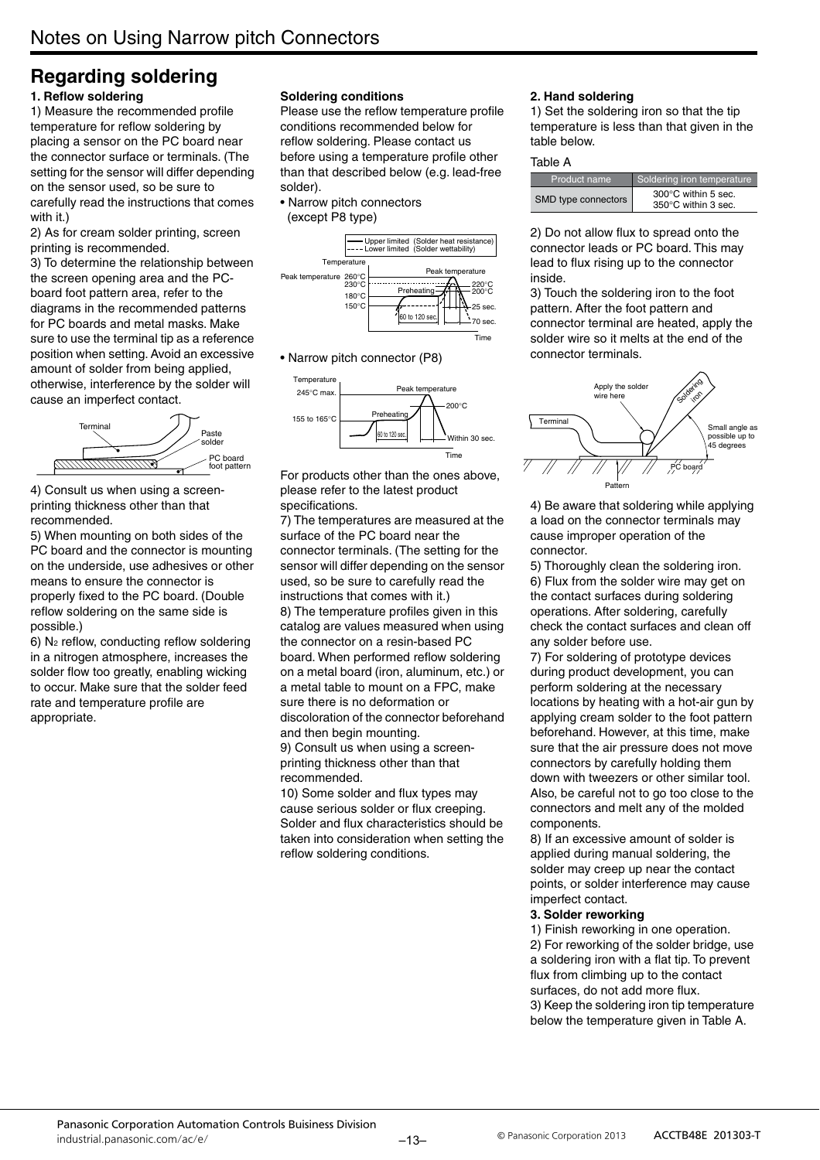### **Regarding soldering 1. Reflow soldering**

1) Measure the recommended profile temperature for reflow soldering by placing a sensor on the PC board near the connector surface or terminals. (The setting for the sensor will differ depending on the sensor used, so be sure to carefully read the instructions that comes with it.)

2) As for cream solder printing, screen printing is recommended.

3) To determine the relationship between the screen opening area and the PCboard foot pattern area, refer to the diagrams in the recommended patterns for PC boards and metal masks. Make sure to use the terminal tip as a reference position when setting. Avoid an excessive amount of solder from being applied, otherwise, interference by the solder will cause an imperfect contact.



4) Consult us when using a screenprinting thickness other than that recommended.

5) When mounting on both sides of the PC board and the connector is mounting on the underside, use adhesives or other means to ensure the connector is properly fixed to the PC board. (Double reflow soldering on the same side is possible.)

6) N2 reflow, conducting reflow soldering in a nitrogen atmosphere, increases the solder flow too greatly, enabling wicking to occur. Make sure that the solder feed rate and temperature profile are appropriate.

#### **Soldering conditions**

Please use the reflow temperature profile conditions recommended below for reflow soldering. Please contact us before using a temperature profile other than that described below (e.g. lead-free solder).

• Narrow pitch connectors (except P8 type)



• Narrow pitch connector (P8)



For products other than the ones above, please refer to the latest product specifications.

7) The temperatures are measured at the surface of the PC board near the connector terminals. (The setting for the sensor will differ depending on the sensor used, so be sure to carefully read the instructions that comes with it.) 8) The temperature profiles given in this catalog are values measured when using the connector on a resin-based PC board. When performed reflow soldering on a metal board (iron, aluminum, etc.) or a metal table to mount on a FPC, make sure there is no deformation or discoloration of the connector beforehand and then begin mounting. 9) Consult us when using a screen-

printing thickness other than that recommended.

10) Some solder and flux types may cause serious solder or flux creeping. Solder and flux characteristics should be taken into consideration when setting the reflow soldering conditions.

#### **2. Hand soldering**

1) Set the soldering iron so that the tip temperature is less than that given in the table below.

#### Table A

| Product name        | Soldering iron temperature                 |
|---------------------|--------------------------------------------|
| SMD type connectors | 300°C within 5 sec.<br>350°C within 3 sec. |

2) Do not allow flux to spread onto the connector leads or PC board. This may lead to flux rising up to the connector inside.

3) Touch the soldering iron to the foot pattern. After the foot pattern and connector terminal are heated, apply the solder wire so it melts at the end of the connector terminals.



4) Be aware that soldering while applying a load on the connector terminals may cause improper operation of the connector.

5) Thoroughly clean the soldering iron. 6) Flux from the solder wire may get on the contact surfaces during soldering operations. After soldering, carefully check the contact surfaces and clean off any solder before use.

7) For soldering of prototype devices during product development, you can perform soldering at the necessary locations by heating with a hot-air gun by applying cream solder to the foot pattern beforehand. However, at this time, make sure that the air pressure does not move connectors by carefully holding them down with tweezers or other similar tool. Also, be careful not to go too close to the connectors and melt any of the molded components.

8) If an excessive amount of solder is applied during manual soldering, the solder may creep up near the contact points, or solder interference may cause imperfect contact.

#### **3. Solder reworking**

1) Finish reworking in one operation. 2) For reworking of the solder bridge, use a soldering iron with a flat tip. To prevent flux from climbing up to the contact surfaces, do not add more flux. 3) Keep the soldering iron tip temperature below the temperature given in Table A.

–13–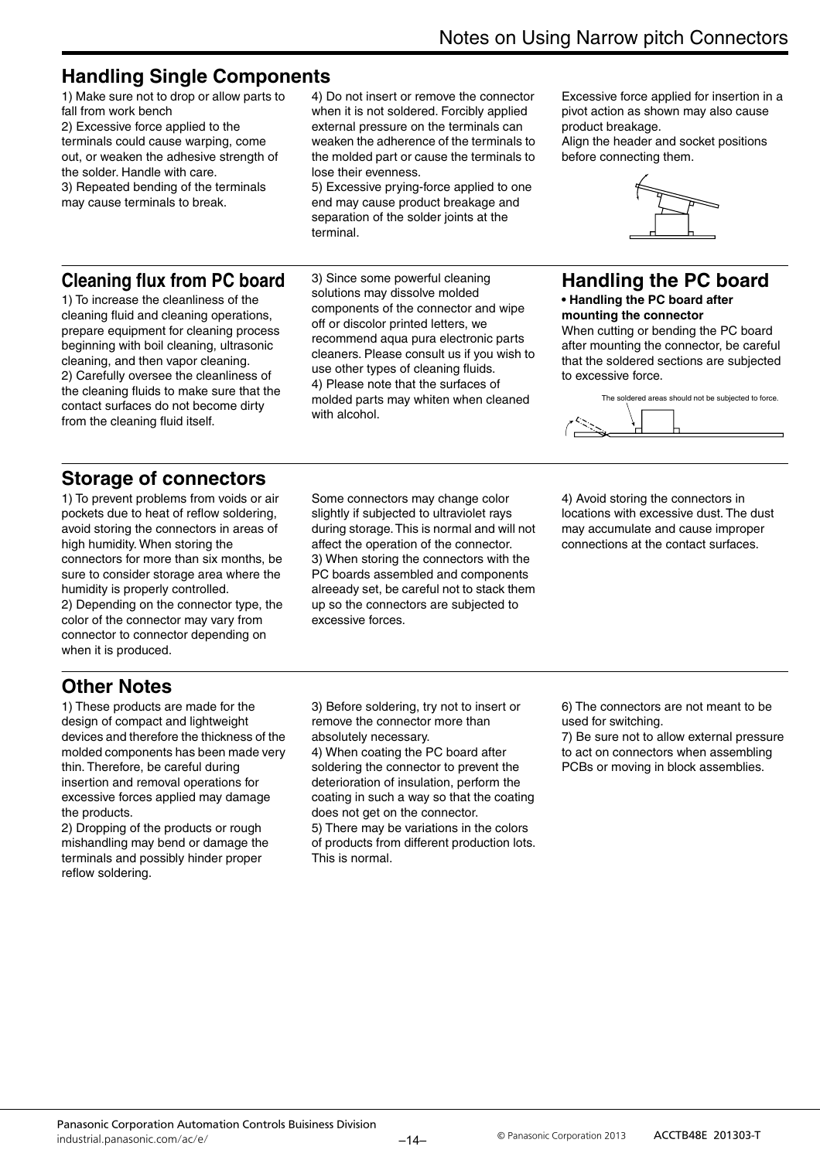### **Handling Single Components**

1) Make sure not to drop or allow parts to fall from work bench 2) Excessive force applied to the terminals could cause warping, come out, or weaken the adhesive strength of the solder. Handle with care. 3) Repeated bending of the terminals may cause terminals to break.

4) Do not insert or remove the connector when it is not soldered. Forcibly applied external pressure on the terminals can weaken the adherence of the terminals to the molded part or cause the terminals to lose their evenness.

5) Excessive prying-force applied to one end may cause product breakage and separation of the solder joints at the terminal.

### **Cleaning flux from PC board**

1) To increase the cleanliness of the cleaning fluid and cleaning operations, prepare equipment for cleaning process beginning with boil cleaning, ultrasonic cleaning, and then vapor cleaning. 2) Carefully oversee the cleanliness of the cleaning fluids to make sure that the contact surfaces do not become dirty from the cleaning fluid itself.

3) Since some powerful cleaning solutions may dissolve molded components of the connector and wipe off or discolor printed letters, we recommend aqua pura electronic parts cleaners. Please consult us if you wish to use other types of cleaning fluids. 4) Please note that the surfaces of molded parts may whiten when cleaned with alcohol.

Excessive force applied for insertion in a pivot action as shown may also cause product breakage.

Align the header and socket positions before connecting them.



### **Handling the PC board**

#### **• Handling the PC board after mounting the connector**

When cutting or bending the PC board after mounting the connector, be careful that the soldered sections are subjected to excessive force.



### **Storage of connectors**

1) To prevent problems from voids or air pockets due to heat of reflow soldering, avoid storing the connectors in areas of high humidity. When storing the connectors for more than six months, be sure to consider storage area where the humidity is properly controlled. 2) Depending on the connector type, the color of the connector may vary from connector to connector depending on when it is produced.

Some connectors may change color slightly if subjected to ultraviolet rays during storage. This is normal and will not affect the operation of the connector. 3) When storing the connectors with the PC boards assembled and components alreeady set, be careful not to stack them up so the connectors are subjected to excessive forces.

4) Avoid storing the connectors in locations with excessive dust. The dust may accumulate and cause improper connections at the contact surfaces.

### **Other Notes**

1) These products are made for the design of compact and lightweight devices and therefore the thickness of the molded components has been made very thin. Therefore, be careful during insertion and removal operations for excessive forces applied may damage the products.

2) Dropping of the products or rough mishandling may bend or damage the terminals and possibly hinder proper reflow soldering.

3) Before soldering, try not to insert or remove the connector more than absolutely necessary.

4) When coating the PC board after soldering the connector to prevent the deterioration of insulation, perform the coating in such a way so that the coating does not get on the connector.

5) There may be variations in the colors of products from different production lots. This is normal.

6) The connectors are not meant to be used for switching.

7) Be sure not to allow external pressure to act on connectors when assembling PCBs or moving in block assemblies.